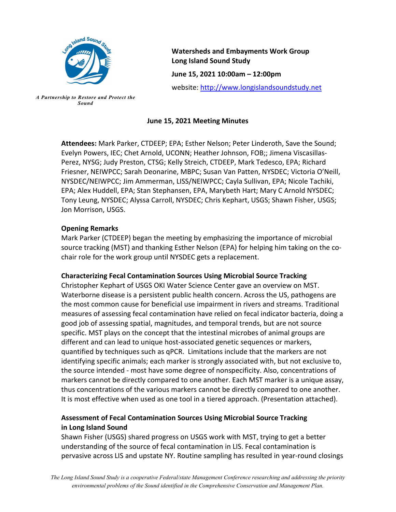

*A Partnership to Restore and Protect the Sound*

**Watersheds and Embayments Work Group Long Island Sound Study June 15, 2021 10:00am – 12:00pm** website[: http://www.longislandsoundstudy.net](http://www.longislandsoundstudy.net/)

### **June 15, 2021 Meeting Minutes**

**Attendees:** Mark Parker, CTDEEP; EPA; Esther Nelson; Peter Linderoth, Save the Sound; Evelyn Powers, IEC; Chet Arnold, UCONN; Heather Johnson, FOB;; Jimena Viscasillas-Perez, NYSG; Judy Preston, CTSG; Kelly Streich, CTDEEP, Mark Tedesco, EPA; Richard Friesner, NEIWPCC; Sarah Deonarine, MBPC; Susan Van Patten, NYSDEC; Victoria O'Neill, NYSDEC/NEIWPCC; Jim Ammerman, LISS/NEIWPCC; Cayla Sullivan, EPA; Nicole Tachiki, EPA; Alex Huddell, EPA; Stan Stephansen, EPA, Marybeth Hart; Mary C Arnold NYSDEC; Tony Leung, NYSDEC; Alyssa Carroll, NYSDEC; Chris Kephart, USGS; Shawn Fisher, USGS; Jon Morrison, USGS.

#### **Opening Remarks**

Mark Parker (CTDEEP) began the meeting by emphasizing the importance of microbial source tracking (MST) and thanking Esther Nelson (EPA) for helping him taking on the cochair role for the work group until NYSDEC gets a replacement.

### **Characterizing Fecal Contamination Sources Using Microbial Source Tracking**

Christopher Kephart of USGS OKI Water Science Center gave an overview on MST. Waterborne disease is a persistent public health concern. Across the US, pathogens are the most common cause for beneficial use impairment in rivers and streams. Traditional measures of assessing fecal contamination have relied on fecal indicator bacteria, doing a good job of assessing spatial, magnitudes, and temporal trends, but are not source specific. MST plays on the concept that the intestinal microbes of animal groups are different and can lead to unique host-associated genetic sequences or markers, quantified by techniques such as qPCR. Limitations include that the markers are not identifying specific animals; each marker is strongly associated with, but not exclusive to, the source intended - most have some degree of nonspecificity. Also, concentrations of markers cannot be directly compared to one another. Each MST marker is a unique assay, thus concentrations of the various markers cannot be directly compared to one another. It is most effective when used as one tool in a tiered approach. (Presentation attached).

# **Assessment of Fecal Contamination Sources Using Microbial Source Tracking in Long Island Sound**

Shawn Fisher (USGS) shared progress on USGS work with MST, trying to get a better understanding of the source of fecal contamination in LIS. Fecal contamination is pervasive across LIS and upstate NY. Routine sampling has resulted in year-round closings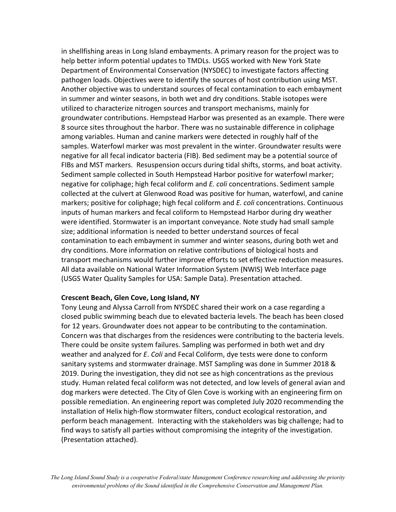in shellfishing areas in Long Island embayments. A primary reason for the project was to help better inform potential updates to TMDLs. USGS worked with New York State Department of Environmental Conservation (NYSDEC) to investigate factors affecting pathogen loads. Objectives were to identify the sources of host contribution using MST. Another objective was to understand sources of fecal contamination to each embayment in summer and winter seasons, in both wet and dry conditions. Stable isotopes were utilized to characterize nitrogen sources and transport mechanisms, mainly for groundwater contributions. Hempstead Harbor was presented as an example. There were 8 source sites throughout the harbor. There was no sustainable difference in coliphage among variables. Human and canine markers were detected in roughly half of the samples. Waterfowl marker was most prevalent in the winter. Groundwater results were negative for all fecal indicator bacteria (FIB). Bed sediment may be a potential source of FIBs and MST markers. Resuspension occurs during tidal shifts, storms, and boat activity. Sediment sample collected in South Hempstead Harbor positive for waterfowl marker; negative for coliphage; high fecal coliform and *E. coli* concentrations. Sediment sample collected at the culvert at Glenwood Road was positive for human, waterfowl, and canine markers; positive for coliphage; high fecal coliform and *E. coli* concentrations. Continuous inputs of human markers and fecal coliform to Hempstead Harbor during dry weather were identified. Stormwater is an important conveyance. Note study had small sample size; additional information is needed to better understand sources of fecal contamination to each embayment in summer and winter seasons, during both wet and dry conditions. More information on relative contributions of biological hosts and transport mechanisms would further improve efforts to set effective reduction measures. All data available on National Water Information System (NWIS) Web Interface page (USGS Water Quality Samples for USA: Sample Data). Presentation attached.

#### **Crescent Beach, Glen Cove, Long Island, NY**

Tony Leung and Alyssa Carroll from NYSDEC shared their work on a case regarding a closed public swimming beach due to elevated bacteria levels. The beach has been closed for 12 years. Groundwater does not appear to be contributing to the contamination. Concern was that discharges from the residences were contributing to the bacteria levels. There could be onsite system failures. Sampling was performed in both wet and dry weather and analyzed for *E*. *Coli* and Fecal Coliform, dye tests were done to conform sanitary systems and stormwater drainage. MST Sampling was done in Summer 2018 & 2019. During the investigation, they did not see as high concentrations as the previous study. Human related fecal coliform was not detected, and low levels of general avian and dog markers were detected. The City of Glen Cove is working with an engineering firm on possible remediation. An engineering report was completed July 2020 recommending the installation of Helix high-flow stormwater filters, conduct ecological restoration, and perform beach management. Interacting with the stakeholders was big challenge; had to find ways to satisfy all parties without compromising the integrity of the investigation. (Presentation attached).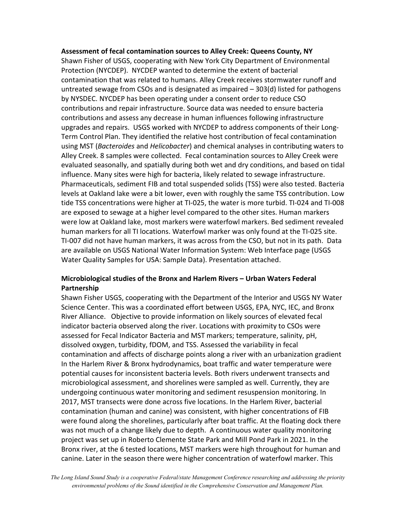#### **Assessment of fecal contamination sources to Alley Creek: Queens County, NY**

Shawn Fisher of USGS, cooperating with New York City Department of Environmental Protection (NYCDEP). NYCDEP wanted to determine the extent of bacterial contamination that was related to humans. Alley Creek receives stormwater runoff and untreated sewage from CSOs and is designated as impaired – 303(d) listed for pathogens by NYSDEC. NYCDEP has been operating under a consent order to reduce CSO contributions and repair infrastructure. Source data was needed to ensure bacteria contributions and assess any decrease in human influences following infrastructure upgrades and repairs. USGS worked with NYCDEP to address components of their Long-Term Control Plan. They identified the relative host contribution of fecal contamination using MST (*Bacteroides* and *Helicobacter*) and chemical analyses in contributing waters to Alley Creek. 8 samples were collected. Fecal contamination sources to Alley Creek were evaluated seasonally, and spatially during both wet and dry conditions, and based on tidal influence. Many sites were high for bacteria, likely related to sewage infrastructure. Pharmaceuticals, sediment FIB and total suspended solids (TSS) were also tested. Bacteria levels at Oakland lake were a bit lower, even with roughly the same TSS contribution. Low tide TSS concentrations were higher at TI-025, the water is more turbid. TI-024 and TI-008 are exposed to sewage at a higher level compared to the other sites. Human markers were low at Oakland lake, most markers were waterfowl markers. Bed sediment revealed human markers for all TI locations. Waterfowl marker was only found at the TI-025 site. TI-007 did not have human markers, it was across from the CSO, but not in its path. Data are available on USGS National Water Information System: Web Interface page (USGS Water Quality Samples for USA: Sample Data). Presentation attached.

## **Microbiological studies of the Bronx and Harlem Rivers – Urban Waters Federal Partnership**

Shawn Fisher USGS, cooperating with the Department of the Interior and USGS NY Water Science Center. This was a coordinated effort between USGS, EPA, NYC, IEC, and Bronx River Alliance. Objective to provide information on likely sources of elevated fecal indicator bacteria observed along the river. Locations with proximity to CSOs were assessed for Fecal Indicator Bacteria and MST markers; temperature, salinity, pH, dissolved oxygen, turbidity, fDOM, and TSS. Assessed the variability in fecal contamination and affects of discharge points along a river with an urbanization gradient In the Harlem River & Bronx hydrodynamics, boat traffic and water temperature were potential causes for inconsistent bacteria levels. Both rivers underwent transects and microbiological assessment, and shorelines were sampled as well. Currently, they are undergoing continuous water monitoring and sediment resuspension monitoring. In 2017, MST transects were done across five locations. In the Harlem River, bacterial contamination (human and canine) was consistent, with higher concentrations of FIB were found along the shorelines, particularly after boat traffic. At the floating dock there was not much of a change likely due to depth. A continuous water quality monitoring project was set up in Roberto Clemente State Park and Mill Pond Park in 2021. In the Bronx river, at the 6 tested locations, MST markers were high throughout for human and canine. Later in the season there were higher concentration of waterfowl marker. This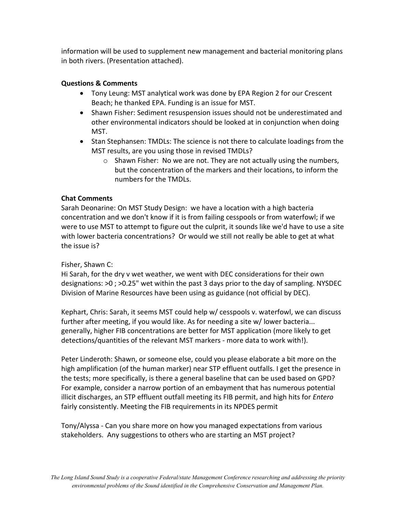information will be used to supplement new management and bacterial monitoring plans in both rivers. (Presentation attached).

## **Questions & Comments**

- Tony Leung: MST analytical work was done by EPA Region 2 for our Crescent Beach; he thanked EPA. Funding is an issue for MST.
- Shawn Fisher: Sediment resuspension issues should not be underestimated and other environmental indicators should be looked at in conjunction when doing MST.
- Stan Stephansen: TMDLs: The science is not there to calculate loadings from the MST results, are you using those in revised TMDLs?
	- $\circ$  Shawn Fisher: No we are not. They are not actually using the numbers, but the concentration of the markers and their locations, to inform the numbers for the TMDLs.

# **Chat Comments**

Sarah Deonarine: On MST Study Design: we have a location with a high bacteria concentration and we don't know if it is from failing cesspools or from waterfowl; if we were to use MST to attempt to figure out the culprit, it sounds like we'd have to use a site with lower bacteria concentrations? Or would we still not really be able to get at what the issue is?

### Fisher, Shawn C:

Hi Sarah, for the dry v wet weather, we went with DEC considerations for their own designations: >0 ; >0.25" wet within the past 3 days prior to the day of sampling. NYSDEC Division of Marine Resources have been using as guidance (not official by DEC).

Kephart, Chris: Sarah, it seems MST could help w/ cesspools v. waterfowl, we can discuss further after meeting, if you would like. As for needing a site w/ lower bacteria... generally, higher FIB concentrations are better for MST application (more likely to get detections/quantities of the relevant MST markers - more data to work with!).

Peter Linderoth: Shawn, or someone else, could you please elaborate a bit more on the high amplification (of the human marker) near STP effluent outfalls. I get the presence in the tests; more specifically, is there a general baseline that can be used based on GPD? For example, consider a narrow portion of an embayment that has numerous potential illicit discharges, an STP effluent outfall meeting its FIB permit, and high hits for *Entero* fairly consistently. Meeting the FIB requirements in its NPDES permit

Tony/Alyssa - Can you share more on how you managed expectations from various stakeholders. Any suggestions to others who are starting an MST project?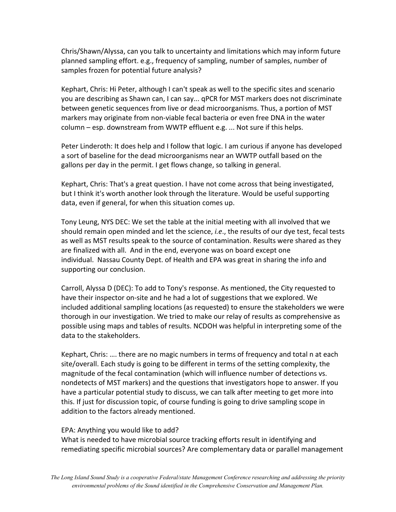Chris/Shawn/Alyssa, can you talk to uncertainty and limitations which may inform future planned sampling effort. e.g., frequency of sampling, number of samples, number of samples frozen for potential future analysis?

Kephart, Chris: Hi Peter, although I can't speak as well to the specific sites and scenario you are describing as Shawn can, I can say... qPCR for MST markers does not discriminate between genetic sequences from live or dead microorganisms. Thus, a portion of MST markers may originate from non-viable fecal bacteria or even free DNA in the water column – esp. downstream from WWTP effluent e.g. ... Not sure if this helps.

Peter Linderoth: It does help and I follow that logic. I am curious if anyone has developed a sort of baseline for the dead microorganisms near an WWTP outfall based on the gallons per day in the permit. I get flows change, so talking in general.

Kephart, Chris: That's a great question. I have not come across that being investigated, but I think it's worth another look through the literature. Would be useful supporting data, even if general, for when this situation comes up.

Tony Leung, NYS DEC: We set the table at the initial meeting with all involved that we should remain open minded and let the science, *i.e*., the results of our dye test, fecal tests as well as MST results speak to the source of contamination. Results were shared as they are finalized with all. And in the end, everyone was on board except one individual. Nassau County Dept. of Health and EPA was great in sharing the info and supporting our conclusion.

Carroll, Alyssa D (DEC): To add to Tony's response. As mentioned, the City requested to have their inspector on-site and he had a lot of suggestions that we explored. We included additional sampling locations (as requested) to ensure the stakeholders we were thorough in our investigation. We tried to make our relay of results as comprehensive as possible using maps and tables of results. NCDOH was helpful in interpreting some of the data to the stakeholders.

Kephart, Chris: …. there are no magic numbers in terms of frequency and total n at each site/overall. Each study is going to be different in terms of the setting complexity, the magnitude of the fecal contamination (which will influence number of detections vs. nondetects of MST markers) and the questions that investigators hope to answer. If you have a particular potential study to discuss, we can talk after meeting to get more into this. If just for discussion topic, of course funding is going to drive sampling scope in addition to the factors already mentioned.

#### EPA: Anything you would like to add?

What is needed to have microbial source tracking efforts result in identifying and remediating specific microbial sources? Are complementary data or parallel management